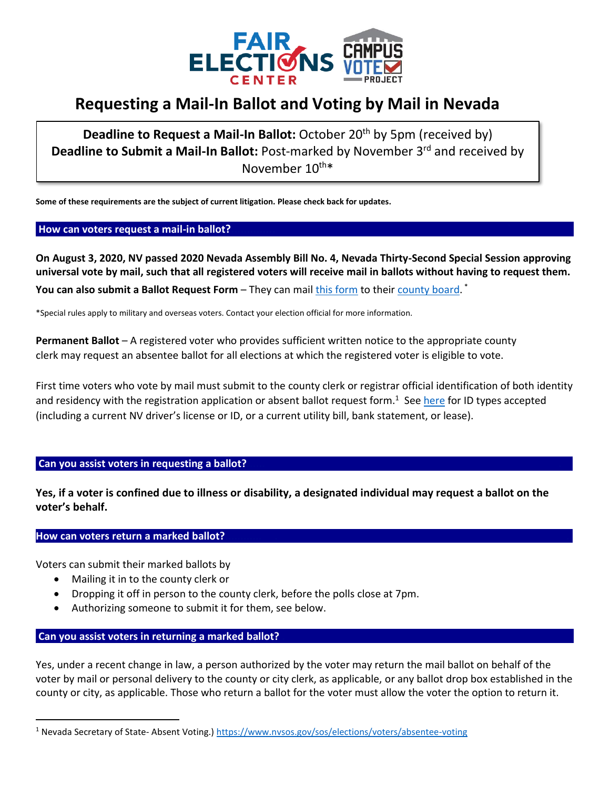

# **Requesting a Mail-In Ballot and Voting by Mail in Nevada**

**Deadline to Request a Mail-In Ballot:** October 20<sup>th</sup> by 5pm (received by) **Deadline to Submit a Mail-In Ballot:** Post-marked by November 3rd and received by November 10<sup>th\*</sup>

**Some of these requirements are the subject of current litigation. Please check back for updates.**

#### How can voters request a mail-in ballot?

**On August 3, 2020, NV passed 2020 Nevada Assembly Bill No. 4, Nevada Thirty-Second Special Session approving universal vote by mail, such that all registered voters will receive mail in ballots without having to request them. You can also submit a Ballot Request Form** – They can mail <u>this form</u> to their [county board.](https://www.nvsos.gov/sos/elections/voters/county-clerk-contact-information) <sup>\*</sup>

\*Special rules apply to military and overseas voters. Contact your election official for more information.

**Permanent Ballot** – A registered voter who provides sufficient written notice to the appropriate county clerk may request an absentee ballot for all elections at which the registered voter is eligible to vote.

First time voters who vote by mail must submit to the county clerk or registrar official identification of both identity and residency with the registration application or absent ballot request form.<sup>1</sup> See [here](https://www.nvsos.gov/sos/elections/voters/absentee-voting) for ID types accepted (including a current NV driver's license or ID, or a current utility bill, bank statement, or lease).

## Can you assist voters in requesting a ballot?

**Yes, if a voter is confined due to illness or disability, a designated individual may request a ballot on the voter's behalf.**

## **How can voters return a marked ballot?**

Voters can submit their marked ballots by

- Mailing it in to the county clerk or
- Dropping it off in person to the county clerk, before the polls close at 7pm.
- Authorizing someone to submit it for them, see below.

## **Can you assist voters in returning a marked ballot? .**

Yes, under a recent change in law, a person authorized by the voter may return the mail ballot on behalf of the voter by mail or personal delivery to the county or city clerk, as applicable, or any ballot drop box established in the county or city, as applicable. Those who return a ballot for the voter must allow the voter the option to return it.

<sup>1</sup> Nevada Secretary of State- Absent Voting.[\) https://www.nvsos.gov/sos/elections/voters/absentee-voting](https://www.nvsos.gov/sos/elections/voters/absentee-voting)